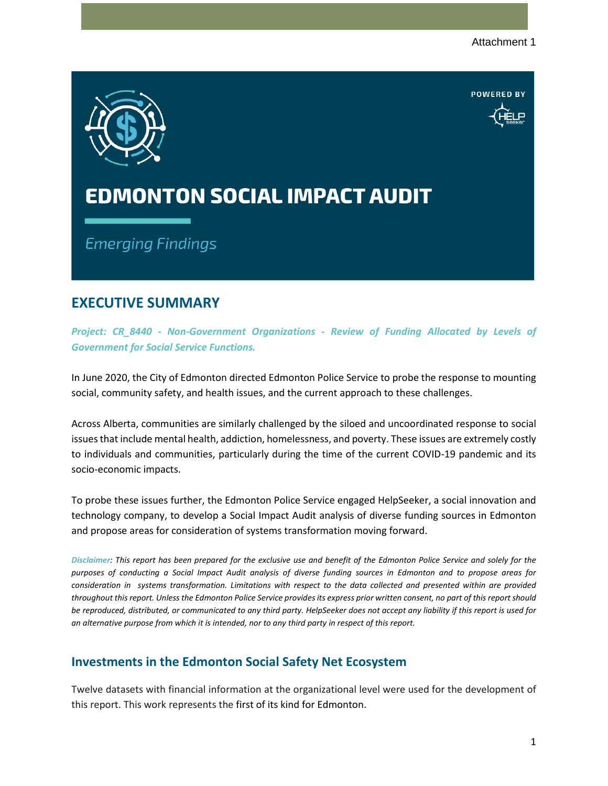**DOWEDED BY** 



## **EDMONTON SOCIAL IMPACT AUDIT**

**Emerging Findings** 

## **EXECUTIVE SUMMARY**

*Project: CR\_8440 - Non-Government Organizations - Review of Funding Allocated by Levels of Government for Social Service Functions.*

In June 2020, the City of Edmonton directed Edmonton Police Service to probe the response to mounting social, community safety, and health issues, and the current approach to these challenges.

Across Alberta, communities are similarly challenged by the siloed and uncoordinated response to social issues that include mental health, addiction, homelessness, and poverty. These issues are extremely costly to individuals and communities, particularly during the time of the current COVID-19 pandemic and its socio-economic impacts.

To probe these issues further, the Edmonton Police Service engaged HelpSeeker, a social innovation and technology company, to develop a Social Impact Audit analysis of diverse funding sources in Edmonton and propose areas for consideration of systems transformation moving forward.

*Disclaimer: This report has been prepared for the exclusive use and benefit of the Edmonton Police Service and solely for the purposes of conducting a Social Impact Audit analysis of diverse funding sources in Edmonton and to propose areas for consideration in systems transformation. Limitations with respect to the data collected and presented within are provided throughout this report. Unless the Edmonton Police Service provides its express prior written consent, no part of this report should be reproduced, distributed, or communicated to any third party. HelpSeeker does not accept any liability if this report is used for an alternative purpose from which it is intended, nor to any third party in respect of this report.*

## **Investments in the Edmonton Social Safety Net Ecosystem**

Twelve datasets with financial information at the organizational level were used for the development of this report. This work represents the first of its kind for Edmonton.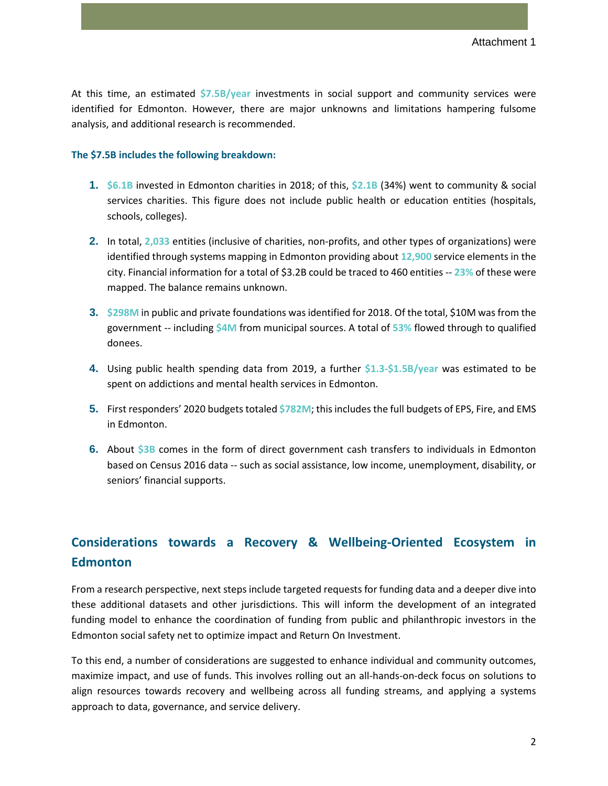At this time, an estimated **\$7.5B/year** investments in social support and community services were identified for Edmonton. However, there are major unknowns and limitations hampering fulsome analysis, and additional research is recommended.

#### **The \$7.5B includes the following breakdown:**

- **1. \$6.1B** invested in Edmonton charities in 2018; of this, **\$2.1B** (34%) went to community & social services charities. This figure does not include public health or education entities (hospitals, schools, colleges).
- **2.** In total, **2,033** entities (inclusive of charities, non-profits, and other types of organizations) were identified through systems mapping in Edmonton providing about **12,900** service elements in the city. Financial information for a total of \$3.2B could be traced to 460 entities -- **23%** of these were mapped. The balance remains unknown.
- **3. \$298M** in public and private foundations was identified for 2018. Of the total, \$10M was from the government -- including **\$4M** from municipal sources. A total of **53%** flowed through to qualified donees.
- **4.** Using public health spending data from 2019, a further **\$1.3-\$1.5B/year** was estimated to be spent on addictions and mental health services in Edmonton.
- **5.** First responders' 2020 budgets totaled **\$782M**; this includes the full budgets of EPS, Fire, and EMS in Edmonton.
- **6.** About **\$3B** comes in the form of direct government cash transfers to individuals in Edmonton based on Census 2016 data -- such as social assistance, low income, unemployment, disability, or seniors' financial supports.

## **Considerations towards a Recovery & Wellbeing-Oriented Ecosystem in Edmonton**

From a research perspective, next steps include targeted requests for funding data and a deeper dive into these additional datasets and other jurisdictions. This will inform the development of an integrated funding model to enhance the coordination of funding from public and philanthropic investors in the Edmonton social safety net to optimize impact and Return On Investment.

To this end, a number of considerations are suggested to enhance individual and community outcomes, maximize impact, and use of funds. This involves rolling out an all-hands-on-deck focus on solutions to align resources towards recovery and wellbeing across all funding streams, and applying a systems approach to data, governance, and service delivery.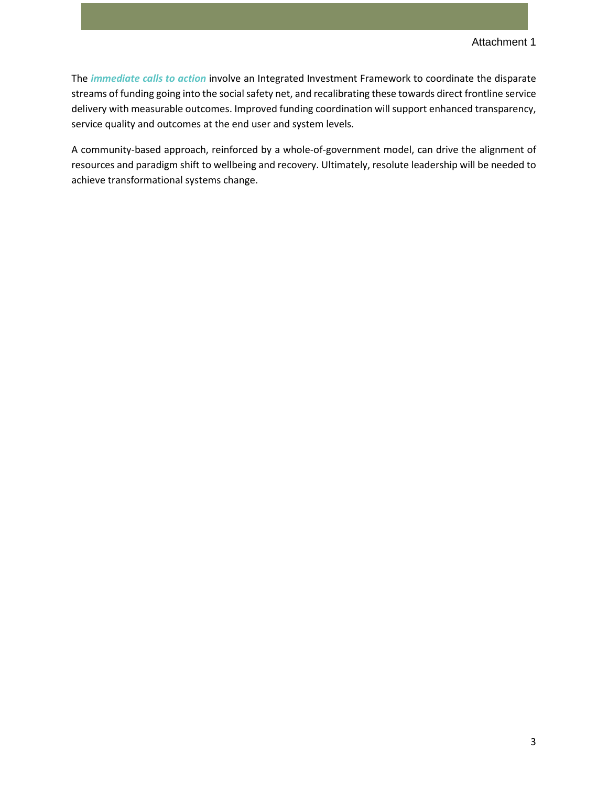The *immediate calls to action* involve an Integrated Investment Framework to coordinate the disparate streams of funding going into the social safety net, and recalibrating these towards direct frontline service delivery with measurable outcomes. Improved funding coordination will support enhanced transparency, service quality and outcomes at the end user and system levels.

A community-based approach, reinforced by a whole-of-government model, can drive the alignment of resources and paradigm shift to wellbeing and recovery. Ultimately, resolute leadership will be needed to achieve transformational systems change.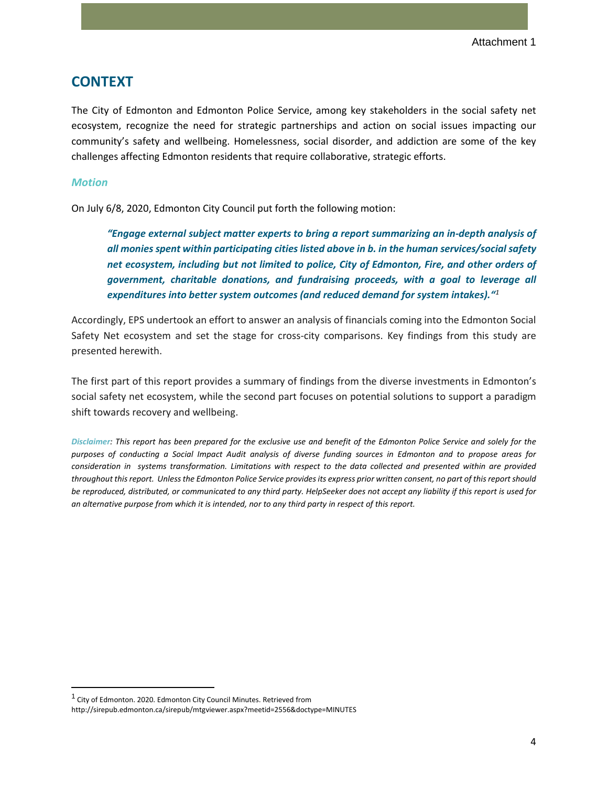## **CONTEXT**

The City of Edmonton and Edmonton Police Service, among key stakeholders in the social safety net ecosystem, recognize the need for strategic partnerships and action on social issues impacting our community's safety and wellbeing. Homelessness, social disorder, and addiction are some of the key challenges affecting Edmonton residents that require collaborative, strategic efforts.

#### *Motion*

On July 6/8, 2020, Edmonton City Council put forth the following motion:

*"Engage external subject matter experts to bring a report summarizing an in-depth analysis of all monies spent within participating cities listed above in b. in the human services/social safety net ecosystem, including but not limited to police, City of Edmonton, Fire, and other orders of government, charitable donations, and fundraising proceeds, with a goal to leverage all expenditures into better system outcomes (and reduced demand for system intakes)."[1](#page-3-0)*

Accordingly, EPS undertook an effort to answer an analysis of financials coming into the Edmonton Social Safety Net ecosystem and set the stage for cross-city comparisons. Key findings from this study are presented herewith.

The first part of this report provides a summary of findings from the diverse investments in Edmonton's social safety net ecosystem, while the second part focuses on potential solutions to support a paradigm shift towards recovery and wellbeing.

*Disclaimer: This report has been prepared for the exclusive use and benefit of the Edmonton Police Service and solely for the purposes of conducting a Social Impact Audit analysis of diverse funding sources in Edmonton and to propose areas for consideration in systems transformation. Limitations with respect to the data collected and presented within are provided throughout this report. Unless the Edmonton Police Service provides its express prior written consent, no part of this report should be reproduced, distributed, or communicated to any third party. HelpSeeker does not accept any liability if this report is used for an alternative purpose from which it is intended, nor to any third party in respect of this report.*

<span id="page-3-0"></span><sup>&</sup>lt;sup>1</sup> City of Edmonton. 2020. Edmonton City Council Minutes. Retrieved from http://sirepub.edmonton.ca/sirepub/mtgviewer.aspx?meetid=2556&doctype=MINUTES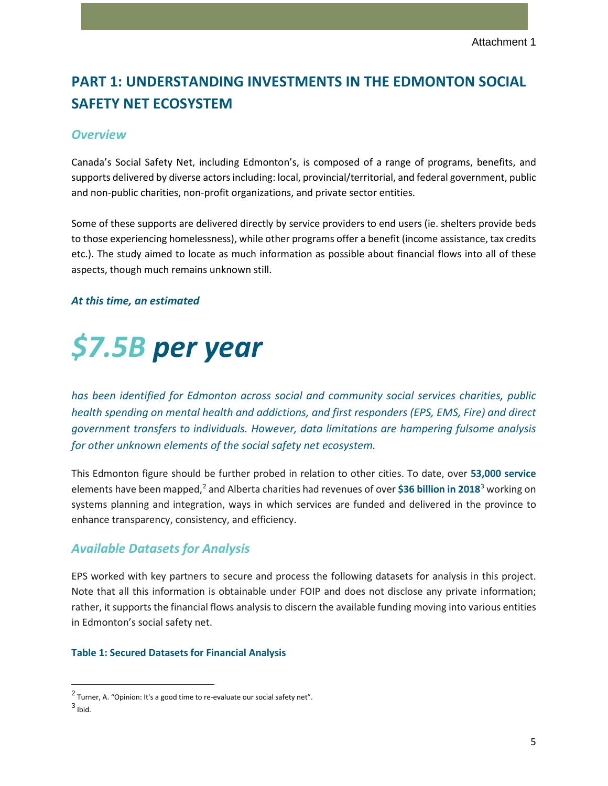## **PART 1: UNDERSTANDING INVESTMENTS IN THE EDMONTON SOCIAL SAFETY NET ECOSYSTEM**

#### *Overview*

Canada's Social Safety Net, including Edmonton's, is composed of a range of programs, benefits, and supports delivered by diverse actors including: local, provincial/territorial, and federal government, public and non-public charities, non-profit organizations, and private sector entities.

Some of these supports are delivered directly by service providers to end users (ie. shelters provide beds to those experiencing homelessness), while other programs offer a benefit (income assistance, tax credits etc.). The study aimed to locate as much information as possible about financial flows into all of these aspects, though much remains unknown still.

#### *At this time, an estimated*

# *\$7.5B per year*

*has been identified for Edmonton across social and community social services charities, public health spending on mental health and addictions, and first responders (EPS, EMS, Fire) and direct government transfers to individuals. However, data limitations are hampering fulsome analysis for other unknown elements of the social safety net ecosystem.*

This Edmonton figure should be further probed in relation to other cities. To date, over **53,000 service** elements have been mapped,[2](#page-4-0) and Alberta charities had revenues of over **\$36 billion in 2018**[3](#page-4-1) working on systems planning and integration, ways in which services are funded and delivered in the province to enhance transparency, consistency, and efficiency.

## *Available Datasets for Analysis*

EPS worked with key partners to secure and process the following datasets for analysis in this project. Note that all this information is obtainable under FOIP and does not disclose any private information; rather, it supports the financial flows analysis to discern the available funding moving into various entities in Edmonton's social safety net.

#### **Table 1: Secured Datasets for Financial Analysis**

<span id="page-4-0"></span><sup>2</sup> Turner, A. "Opinion: It's a good time to re-evaluate our social safety net".

<span id="page-4-1"></span> $3$  Ibid.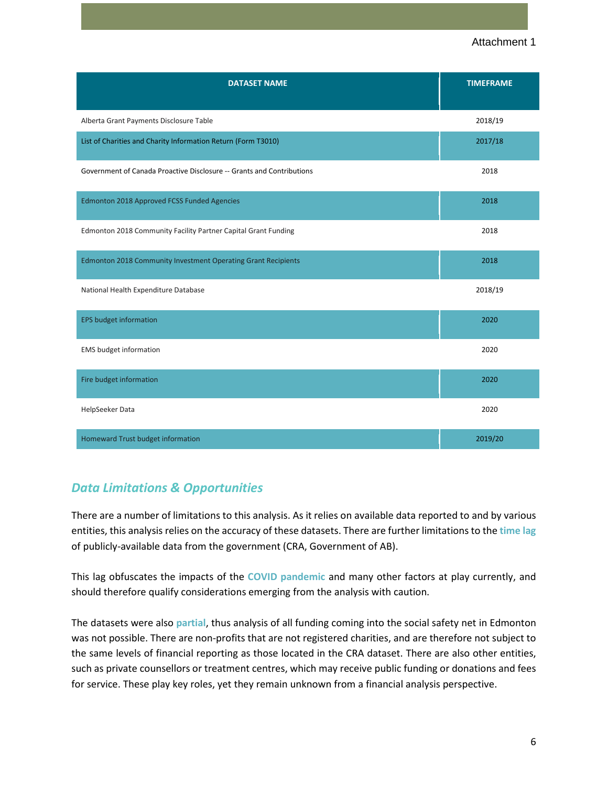#### Attachment 1

| <b>DATASET NAME</b>                                                   | <b>TIMEFRAME</b> |
|-----------------------------------------------------------------------|------------------|
| Alberta Grant Payments Disclosure Table                               | 2018/19          |
| List of Charities and Charity Information Return (Form T3010)         | 2017/18          |
| Government of Canada Proactive Disclosure -- Grants and Contributions | 2018             |
| Edmonton 2018 Approved FCSS Funded Agencies                           | 2018             |
| Edmonton 2018 Community Facility Partner Capital Grant Funding        | 2018             |
| Edmonton 2018 Community Investment Operating Grant Recipients         | 2018             |
| National Health Expenditure Database                                  | 2018/19          |
| <b>EPS budget information</b>                                         | 2020             |
| <b>EMS</b> budget information                                         | 2020             |
| Fire budget information                                               | 2020             |
| HelpSeeker Data                                                       | 2020             |
| Homeward Trust budget information                                     | 2019/20          |

## *Data Limitations & Opportunities*

There are a number of limitations to this analysis. As it relies on available data reported to and by various entities, this analysis relies on the accuracy of these datasets. There are further limitations to the **time lag** of publicly-available data from the government (CRA, Government of AB).

This lag obfuscates the impacts of the **COVID pandemic** and many other factors at play currently, and should therefore qualify considerations emerging from the analysis with caution.

The datasets were also **partial**, thus analysis of all funding coming into the social safety net in Edmonton was not possible. There are non-profits that are not registered charities, and are therefore not subject to the same levels of financial reporting as those located in the CRA dataset. There are also other entities, such as private counsellors or treatment centres, which may receive public funding or donations and fees for service. These play key roles, yet they remain unknown from a financial analysis perspective.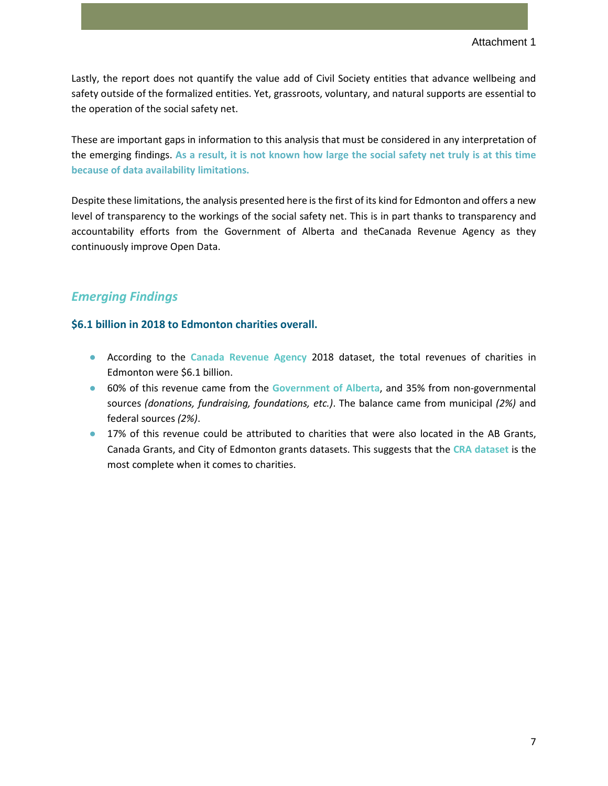Lastly, the report does not quantify the value add of Civil Society entities that advance wellbeing and safety outside of the formalized entities. Yet, grassroots, voluntary, and natural supports are essential to the operation of the social safety net.

These are important gaps in information to this analysis that must be considered in any interpretation of the emerging findings. **As a result, it is not known how large the social safety net truly is at this time because of data availability limitations.**

Despite these limitations, the analysis presented here is the first of its kind for Edmonton and offers a new level of transparency to the workings of the social safety net. This is in part thanks to transparency and accountability efforts from the Government of Alberta and theCanada Revenue Agency as they continuously improve Open Data.

## *Emerging Findings*

#### **\$6.1 billion in 2018 to Edmonton charities overall.**

- According to the **Canada Revenue Agency** 2018 dataset, the total revenues of charities in Edmonton were \$6.1 billion.
- 60% of this revenue came from the **Government of Alberta**, and 35% from non-governmental sources *(donations, fundraising, foundations, etc.)*. The balance came from municipal *(2%)* and federal sources *(2%)*.
- 17% of this revenue could be attributed to charities that were also located in the AB Grants, Canada Grants, and City of Edmonton grants datasets. This suggests that the **CRA dataset** is the most complete when it comes to charities.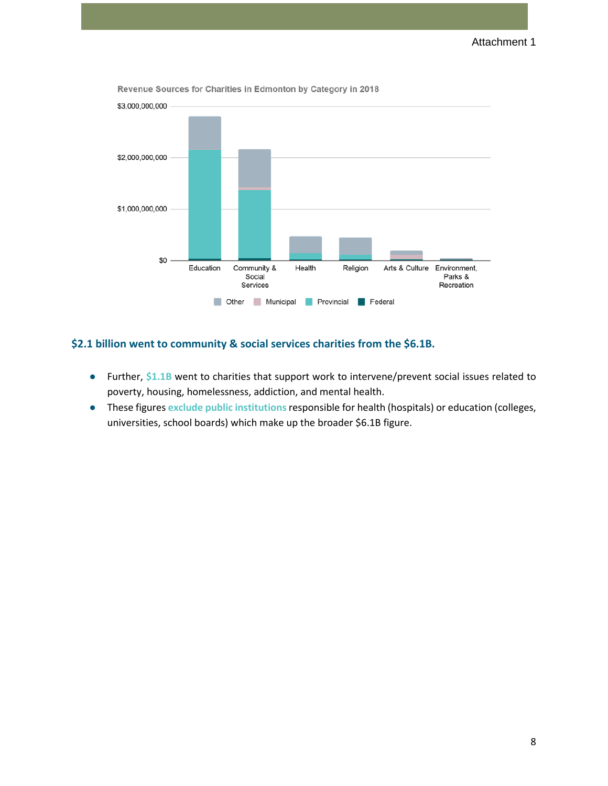

Revenue Sources for Charities in Edmonton by Category in 2018

#### **\$2.1 billion went to community & social services charities from the \$6.1B.**

- Further, \$1.1B went to charities that support work to intervene/prevent social issues related to poverty, housing, homelessness, addiction, and mental health.
- These figures **exclude public institutions**responsible for health (hospitals) or education (colleges, universities, school boards) which make up the broader \$6.1B figure.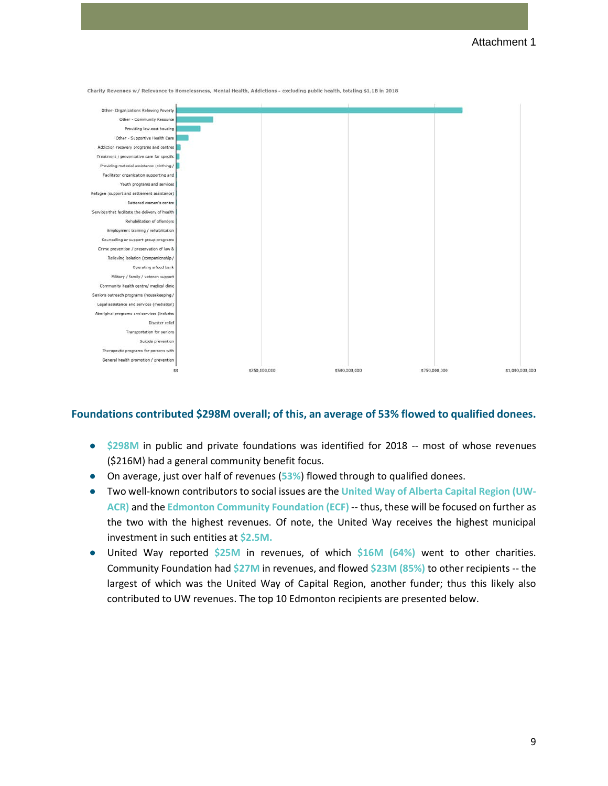

Charity Revenues w/ Relevance to Homelessness, Mental Health, Addictions - excluding public health, totaling \$1.1B in 2018

#### **Foundations contributed \$298M overall; of this, an average of 53% flowed to qualified donees.**

- **\$298M** in public and private foundations was identified for 2018 -- most of whose revenues (\$216M) had a general community benefit focus.
- On average, just over half of revenues (**53%**) flowed through to qualified donees.
- Two well-known contributors to social issues are the **United Way of Alberta Capital Region (UW-ACR)** and the **Edmonton Community Foundation (ECF)** -- thus, these will be focused on further as the two with the highest revenues. Of note, the United Way receives the highest municipal investment in such entities at **\$2.5M.**
- United Way reported **\$25M** in revenues, of which **\$16M (64%)** went to other charities. Community Foundation had **\$27M** in revenues, and flowed **\$23M (85%)** to other recipients -- the largest of which was the United Way of Capital Region, another funder; thus this likely also contributed to UW revenues. The top 10 Edmonton recipients are presented below.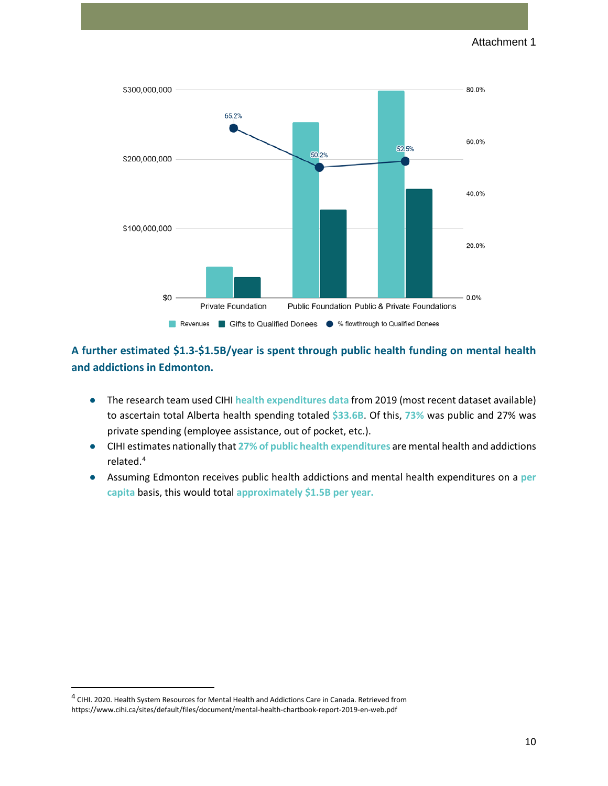

## **A further estimated \$1.3-\$1.5B/year is spent through public health funding on mental health and addictions in Edmonton.**

- The research team used CIHI **health expenditures data** from 2019 (most recent dataset available) to ascertain total Alberta health spending totaled **\$33.6B**. Of this, **73%** was public and 27% was private spending (employee assistance, out of pocket, etc.).
- CIHI estimates nationally that **27% of public health expenditures** are mental health and addictions related.[4](#page-9-0)
- Assuming Edmonton receives public health addictions and mental health expenditures on a **per capita** basis, this would total **approximately \$1.5B per year.**

<span id="page-9-0"></span><sup>4</sup> CIHI. 2020. Health System Resources for Mental Health and Addictions Care in Canada. Retrieved from https://www.cihi.ca/sites/default/files/document/mental-health-chartbook-report-2019-en-web.pdf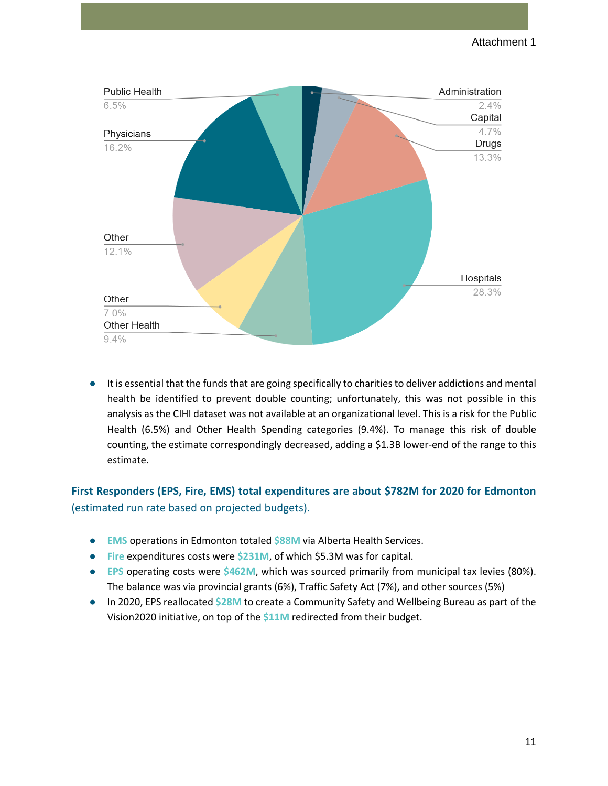

It is essential that the funds that are going specifically to charities to deliver addictions and mental health be identified to prevent double counting; unfortunately, this was not possible in this analysis as the CIHI dataset was not available at an organizational level. This is a risk for the Public Health (6.5%) and Other Health Spending categories (9.4%). To manage this risk of double counting, the estimate correspondingly decreased, adding a \$1.3B lower-end of the range to this estimate.

## **First Responders (EPS, Fire, EMS) total expenditures are about \$782M for 2020 for Edmonton**  (estimated run rate based on projected budgets).

- **EMS** operations in Edmonton totaled **\$88M** via Alberta Health Services.
- **Fire** expenditures costs were **\$231M**, of which \$5.3M was for capital.
- **EPS** operating costs were **\$462M**, which was sourced primarily from municipal tax levies (80%). The balance was via provincial grants (6%), Traffic Safety Act (7%), and other sources (5%)
- In 2020, EPS reallocated **\$28M** to create a Community Safety and Wellbeing Bureau as part of the Vision2020 initiative, on top of the **\$11M** redirected from their budget.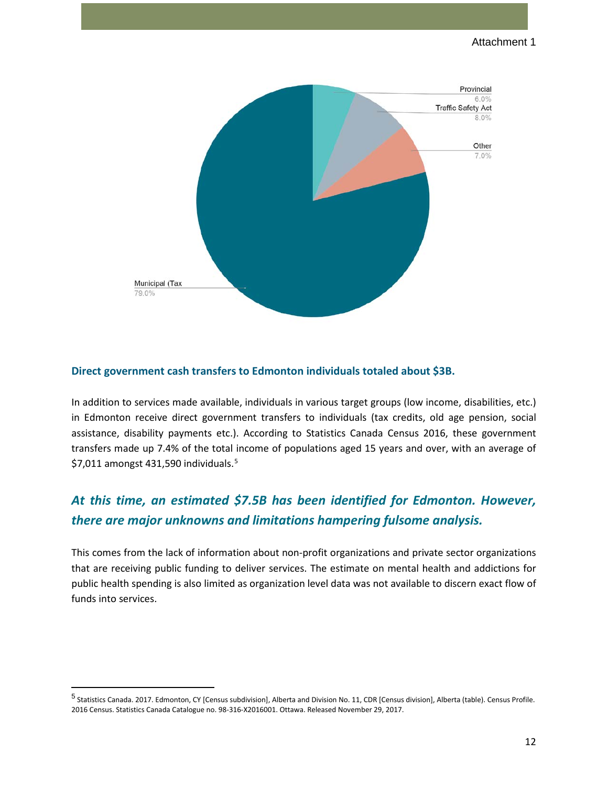

#### **Direct government cash transfers to Edmonton individuals totaled about \$3B.**

In addition to services made available, individuals in various target groups (low income, disabilities, etc.) in Edmonton receive direct government transfers to individuals (tax credits, old age pension, social assistance, disability payments etc.). According to Statistics Canada Census 2016, these government transfers made up 7.4% of the total income of populations aged 15 years and over, with an average of  $$7,011$  amongst 431,[5](#page-11-0)90 individuals.<sup>5</sup>

## *At this time, an estimated \$7.5B has been identified for Edmonton. However, there are major unknowns and limitations hampering fulsome analysis.*

This comes from the lack of information about non-profit organizations and private sector organizations that are receiving public funding to deliver services. The estimate on mental health and addictions for public health spending is also limited as organization level data was not available to discern exact flow of funds into services.

<span id="page-11-0"></span><sup>5</sup> Statistics Canada. 2017. Edmonton, CY [Census subdivision], Alberta and Division No. 11, CDR [Census division], Alberta (table). Census Profile. 2016 Census. Statistics Canada Catalogue no. 98-316-X2016001. Ottawa. Released November 29, 2017.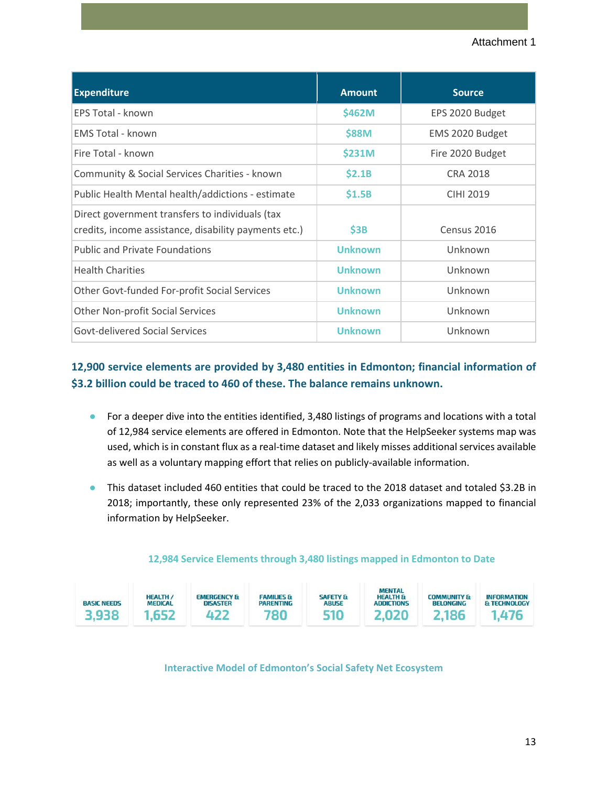| <b>Expenditure</b>                                                                                       | <b>Amount</b>  | <b>Source</b>    |
|----------------------------------------------------------------------------------------------------------|----------------|------------------|
| EPS Total - known                                                                                        | \$462M         | EPS 2020 Budget  |
| <b>EMS Total - known</b>                                                                                 | \$88M          | EMS 2020 Budget  |
| Fire Total - known                                                                                       | \$231M         | Fire 2020 Budget |
| Community & Social Services Charities - known                                                            | \$2.1B         | <b>CRA 2018</b>  |
| Public Health Mental health/addictions - estimate                                                        | \$1.5B         | <b>CIHI 2019</b> |
| Direct government transfers to individuals (tax<br>credits, income assistance, disability payments etc.) | \$3B           | Census 2016      |
| <b>Public and Private Foundations</b>                                                                    | <b>Unknown</b> | Unknown          |
| <b>Health Charities</b>                                                                                  | <b>Unknown</b> | Unknown          |
| Other Govt-funded For-profit Social Services                                                             | <b>Unknown</b> | Unknown          |
| <b>Other Non-profit Social Services</b>                                                                  | <b>Unknown</b> | Unknown          |
| <b>Govt-delivered Social Services</b>                                                                    | Unknown        | Unknown          |

## **12,900 service elements are provided by 3,480 entities in Edmonton; financial information of \$3.2 billion could be traced to 460 of these. The balance remains unknown.**

- For a deeper dive into the entities identified, 3,480 listings of programs and locations with a total of 12,984 service elements are offered in Edmonton. Note that the HelpSeeker systems map was used, which is in constant flux as a real-time dataset and likely misses additional services available as well as a voluntary mapping effort that relies on publicly-available information.
- This dataset included 460 entities that could be traced to the 2018 dataset and totaled \$3.2B in 2018; importantly, these only represented 23% of the 2,033 organizations mapped to financial information by HelpSeeker.

| <b>BASIC NEEDS</b><br>3.938 | <b>HEALTH /</b><br><b>MEDICAL</b><br>1.652 | <b>EMERGENCY &amp;</b><br><b>DISASTER</b> | <b>FAMILIES &amp;</b><br><b>PARENTING</b> | <b>SAFETY &amp;</b><br><b>ABUSE</b> | <b>MENTAL</b><br><b>HEALTH &amp;</b><br><b>ADDICTIONS</b> | <b>COMMUNITY &amp;</b><br><b>BELONGING</b> | <b>INFORMATION</b><br>& TECHNOLOGY<br>476 |
|-----------------------------|--------------------------------------------|-------------------------------------------|-------------------------------------------|-------------------------------------|-----------------------------------------------------------|--------------------------------------------|-------------------------------------------|
|-----------------------------|--------------------------------------------|-------------------------------------------|-------------------------------------------|-------------------------------------|-----------------------------------------------------------|--------------------------------------------|-------------------------------------------|

#### **12,984 Service Elements through 3,480 listings mapped in Edmonton to Date**

**Interactive Model of Edmonton's Social Safety Net Ecosystem**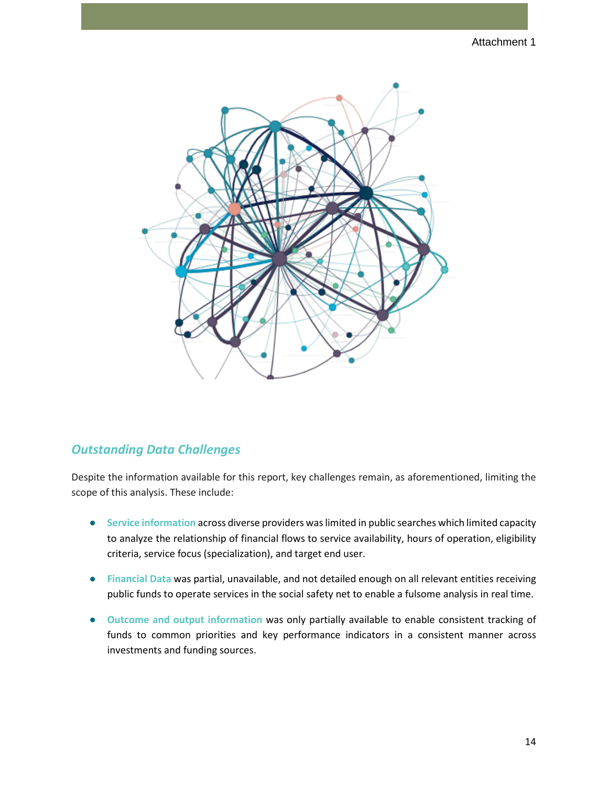#### Attachment 1



## *Outstanding Data Challenges*

Despite the information available for this report, key challenges remain, as aforementioned, limiting the scope of this analysis. These include:

- **Service information** across diverse providers was limited in public searches which limited capacity to analyze the relationship of financial flows to service availability, hours of operation, eligibility criteria, service focus (specialization), and target end user.
- **Financial Data** was partial, unavailable, and not detailed enough on all relevant entities receiving public funds to operate services in the social safety net to enable a fulsome analysis in real time.
- **Outcome and output information** was only partially available to enable consistent tracking of funds to common priorities and key performance indicators in a consistent manner across investments and funding sources.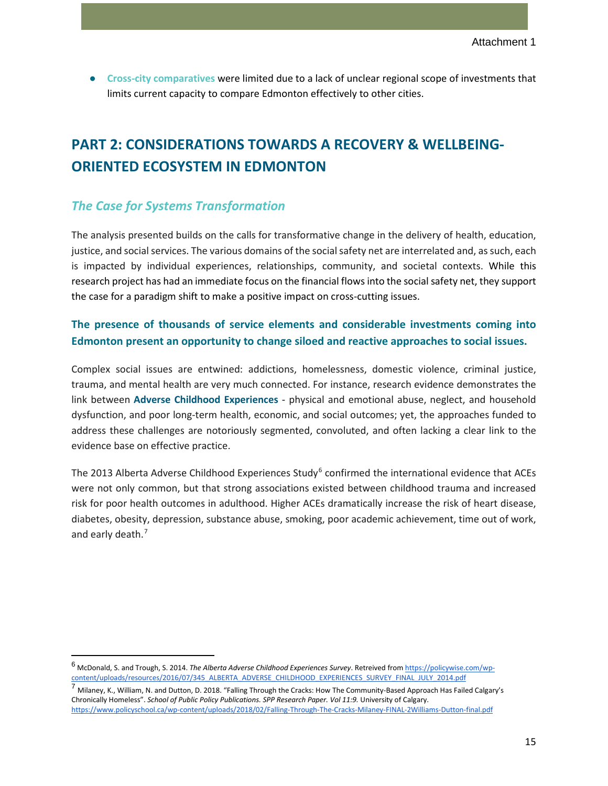● **Cross-city comparatives** were limited due to a lack of unclear regional scope of investments that limits current capacity to compare Edmonton effectively to other cities.

## **PART 2: CONSIDERATIONS TOWARDS A RECOVERY & WELLBEING-ORIENTED ECOSYSTEM IN EDMONTON**

## *The Case for Systems Transformation*

The analysis presented builds on the calls for transformative change in the delivery of health, education, justice, and social services. The various domains of the social safety net are interrelated and, as such, each is impacted by individual experiences, relationships, community, and societal contexts. While this research project has had an immediate focus on the financial flows into the social safety net, they support the case for a paradigm shift to make a positive impact on cross-cutting issues.

## **The presence of thousands of service elements and considerable investments coming into Edmonton present an opportunity to change siloed and reactive approaches to social issues.**

Complex social issues are entwined: addictions, homelessness, domestic violence, criminal justice, trauma, and mental health are very much connected. For instance, research evidence demonstrates the link between **Adverse Childhood Experiences** - physical and emotional abuse, neglect, and household dysfunction, and poor long-term health, economic, and social outcomes; yet, the approaches funded to address these challenges are notoriously segmented, convoluted, and often lacking a clear link to the evidence base on effective practice.

The 2013 Alberta Adverse Childhood Experiences Study<sup>[6](#page-14-0)</sup> confirmed the international evidence that ACEs were not only common, but that strong associations existed between childhood trauma and increased risk for poor health outcomes in adulthood. Higher ACEs dramatically increase the risk of heart disease, diabetes, obesity, depression, substance abuse, smoking, poor academic achievement, time out of work, and early death.<sup>[7](#page-14-1)</sup>

<span id="page-14-0"></span><sup>6</sup> McDonald, S. and Trough, S. 2014. *The Alberta Adverse Childhood Experiences Survey*. Retreived fro[m https://policywise.com/wp](https://policywise.com/wp-content/uploads/resources/2016/07/345_ALBERTA_ADVERSE_CHILDHOOD_EXPERIENCES_SURVEY_FINAL_JULY_2014.pdf)content/uploads/resources/2016/07/345\_ALBERTA\_ADVERSE\_CHILDHOOD\_EXPERIENCES\_SURVEY\_FINAL\_JULY\_2014.pdf

<span id="page-14-1"></span><sup>&</sup>lt;sup>7</sup> Milaney, K., William, N. and Dutton, D. 2018. "Falling Through the Cracks: How The Community-Based Approach Has Failed Calgary's Chronically Homeless". *School of Public Policy Publications. SPP Research Paper. Vol 11:9.* University of Calgar[y.](https://www.policyschool.ca/wp-content/uploads/2018/02/Falling-Through-The-Cracks-Milaney-FINAL-2Williams-Dutton-final.pdf) <https://www.policyschool.ca/wp-content/uploads/2018/02/Falling-Through-The-Cracks-Milaney-FINAL-2Williams-Dutton-final.pdf>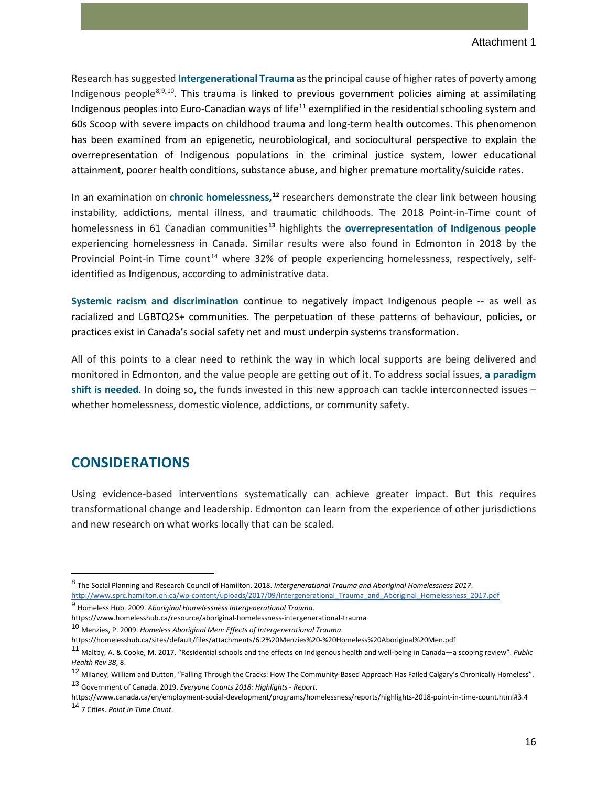Research has suggested **Intergenerational Trauma** as the principal cause of higher rates of poverty among Indigenous people[8](#page-15-0),[9](#page-15-1),[10](#page-15-2). This trauma is linked to previous government policies aiming at assimilating Indigenous peoples into Euro-Canadian ways of life<sup>[11](#page-15-3)</sup> exemplified in the residential schooling system and 60s Scoop with severe impacts on childhood trauma and long-term health outcomes. This phenomenon has been examined from an epigenetic, neurobiological, and sociocultural perspective to explain the overrepresentation of Indigenous populations in the criminal justice system, lower educational attainment, poorer health conditions, substance abuse, and higher premature mortality/suicide rates.

In an examination on **chronic homelessness, [12](#page-15-4)** researchers demonstrate the clear link between housing instability, addictions, mental illness, and traumatic childhoods. The 2018 Point-in-Time count of homelessness in 61 Canadian communities**[13](#page-15-5)** highlights the **overrepresentation of Indigenous people** experiencing homelessness in Canada. Similar results were also found in Edmonton in 2018 by the Provincial Point-in Time count<sup>[14](#page-15-6)</sup> where 32% of people experiencing homelessness, respectively, selfidentified as Indigenous, according to administrative data.

**Systemic racism and discrimination** continue to negatively impact Indigenous people -- as well as racialized and LGBTQ2S+ communities. The perpetuation of these patterns of behaviour, policies, or practices exist in Canada's social safety net and must underpin systems transformation.

All of this points to a clear need to rethink the way in which local supports are being delivered and monitored in Edmonton, and the value people are getting out of it. To address social issues, **a paradigm shift is needed**. In doing so, the funds invested in this new approach can tackle interconnected issues – whether homelessness, domestic violence, addictions, or community safety.

## **CONSIDERATIONS**

Using evidence-based interventions systematically can achieve greater impact. But this requires transformational change and leadership. Edmonton can learn from the experience of other jurisdictions and new research on what works locally that can be scaled.

<sup>13</sup> Government of Canada. 2019. *Everyone Counts 2018: Highlights - Report*.

<span id="page-15-0"></span><sup>8</sup> The Social Planning and Research Council of Hamilton. 2018. *Intergenerational Trauma and Aboriginal Homelessness 2017*. [http://www.sprc.hamilton.on.ca/wp-content/uploads/2017/09/Intergenerational\\_Trauma\\_and\\_Aboriginal\\_Homelessness\\_2017.pdf](http://www.sprc.hamilton.on.ca/wp-content/uploads/2017/09/Intergenerational_Trauma_and_Aboriginal_Homelessness_2017.pdf)

<span id="page-15-1"></span><sup>9</sup> Homeless Hub. 2009. *Aboriginal Homelessness Intergenerational Trauma.*

https://www.homelesshub.ca/resource/aboriginal-homelessness-intergenerational-trauma

<span id="page-15-2"></span><sup>10</sup> Menzies, P. 2009. *Homeless Aboriginal Men: Effects of Intergenerational Trauma*.

https://homelesshub.ca/sites/default/files/attachments/6.2%20Menzies%20-%20Homeless%20Aboriginal%20Men.pdf

<span id="page-15-3"></span><sup>11</sup> Maltby, A. & Cooke, M. 2017. "Residential schools and the effects on Indigenous health and well-being in Canada—a scoping review". *Public Health Rev 38*, 8.

<span id="page-15-5"></span><span id="page-15-4"></span><sup>&</sup>lt;sup>12</sup> Milaney, William and Dutton, "Falling Through the Cracks: How The Community-Based Approach Has Failed Calgary's Chronically Homeless".

<span id="page-15-6"></span>https://www.canada.ca/en/employment-social-development/programs/homelessness/reports/highlights-2018-point-in-time-count.html#3.4 <sup>14</sup> 7 Cities. *Point in Time Count*.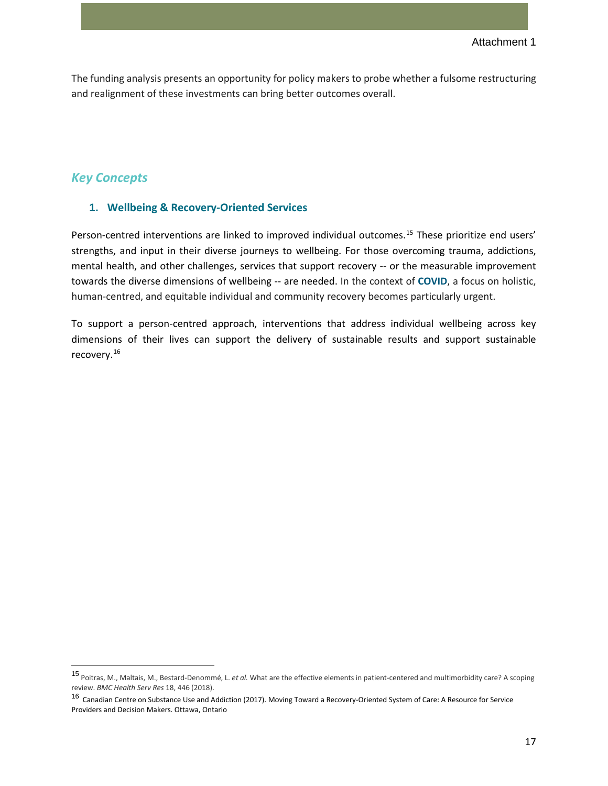The funding analysis presents an opportunity for policy makers to probe whether a fulsome restructuring and realignment of these investments can bring better outcomes overall.

#### *Key Concepts*

#### **1. Wellbeing & Recovery-Oriented Services**

Person-centred interventions are linked to improved individual outcomes.<sup>[15](#page-16-0)</sup> These prioritize end users' strengths, and input in their diverse journeys to wellbeing. For those overcoming trauma, addictions, mental health, and other challenges, services that support recovery -- or the measurable improvement towards the diverse dimensions of wellbeing -- are needed. In the context of **COVID**, a focus on holistic, human-centred, and equitable individual and community recovery becomes particularly urgent.

To support a person-centred approach, interventions that address individual wellbeing across key dimensions of their lives can support the delivery of sustainable results and support sustainable recovery.[16](#page-16-1)

<span id="page-16-0"></span><sup>15</sup> Poitras, M., Maltais, M., Bestard-Denommé, L. *et al.* What are the effective elements in patient-centered and multimorbidity care? A scoping review. *BMC Health Serv Res* 18, 446 (2018).

<span id="page-16-1"></span><sup>16</sup> Canadian Centre on Substance Use and Addiction (2017). Moving Toward a Recovery-Oriented System of Care: A Resource for Service Providers and Decision Makers. Ottawa, Ontario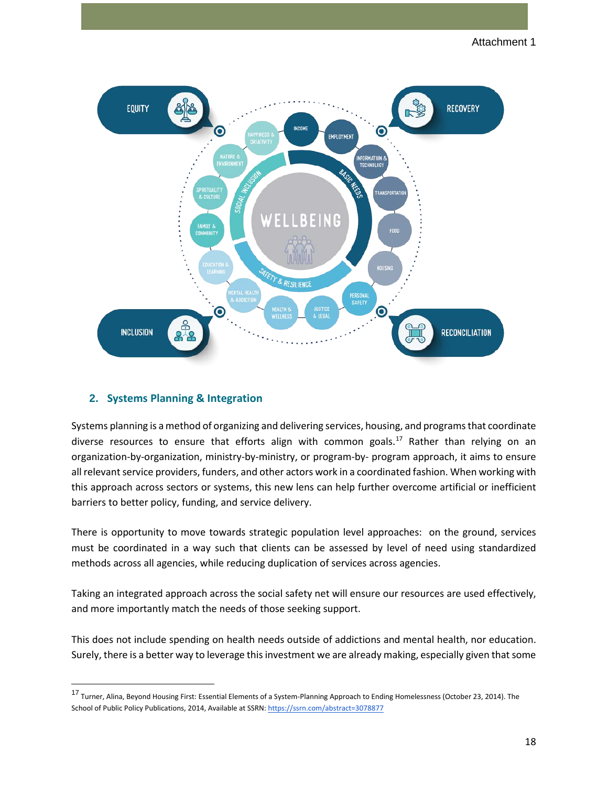

#### **2. Systems Planning & Integration**

Systems planning is a method of organizing and delivering services, housing, and programs that coordinate diverse resources to ensure that efforts align with common goals.<sup>[17](#page-17-0)</sup> Rather than relying on an organization-by-organization, ministry-by-ministry, or program-by- program approach, it aims to ensure all relevant service providers, funders, and other actors work in a coordinated fashion. When working with this approach across sectors or systems, this new lens can help further overcome artificial or inefficient barriers to better policy, funding, and service delivery.

There is opportunity to move towards strategic population level approaches: on the ground, services must be coordinated in a way such that clients can be assessed by level of need using standardized methods across all agencies, while reducing duplication of services across agencies.

Taking an integrated approach across the social safety net will ensure our resources are used effectively, and more importantly match the needs of those seeking support.

This does not include spending on health needs outside of addictions and mental health, nor education. Surely, there is a better way to leverage this investment we are already making, especially given that some

<span id="page-17-0"></span><sup>17</sup> Turner, Alina, Beyond Housing First: Essential Elements of a System-Planning Approach to Ending Homelessness (October 23, 2014). The School of Public Policy Publications, 2014, Available at SSRN[: https://ssrn.com/abstract=3078877](https://ssrn.com/abstract=3078877)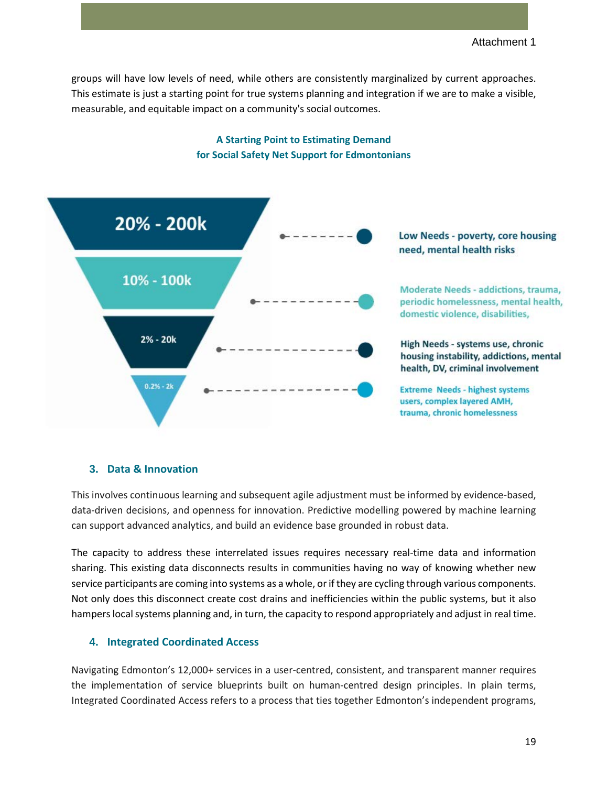groups will have low levels of need, while others are consistently marginalized by current approaches. This estimate is just a starting point for true systems planning and integration if we are to make a visible, measurable, and equitable impact on a community's social outcomes.



## **A Starting Point to Estimating Demand for Social Safety Net Support for Edmontonians**

#### **3. Data & Innovation**

This involves continuous learning and subsequent agile adjustment must be informed by evidence-based, data-driven decisions, and openness for innovation. Predictive modelling powered by machine learning can support advanced analytics, and build an evidence base grounded in robust data.

The capacity to address these interrelated issues requires necessary real-time data and information sharing. This existing data disconnects results in communities having no way of knowing whether new service participants are coming into systems as a whole, or if they are cycling through various components. Not only does this disconnect create cost drains and inefficiencies within the public systems, but it also hampers local systems planning and, in turn, the capacity to respond appropriately and adjust in real time.

#### **4. Integrated Coordinated Access**

Navigating Edmonton's 12,000+ services in a user-centred, consistent, and transparent manner requires the implementation of service blueprints built on human-centred design principles. In plain terms, Integrated Coordinated Access refers to a process that ties together Edmonton's independent programs,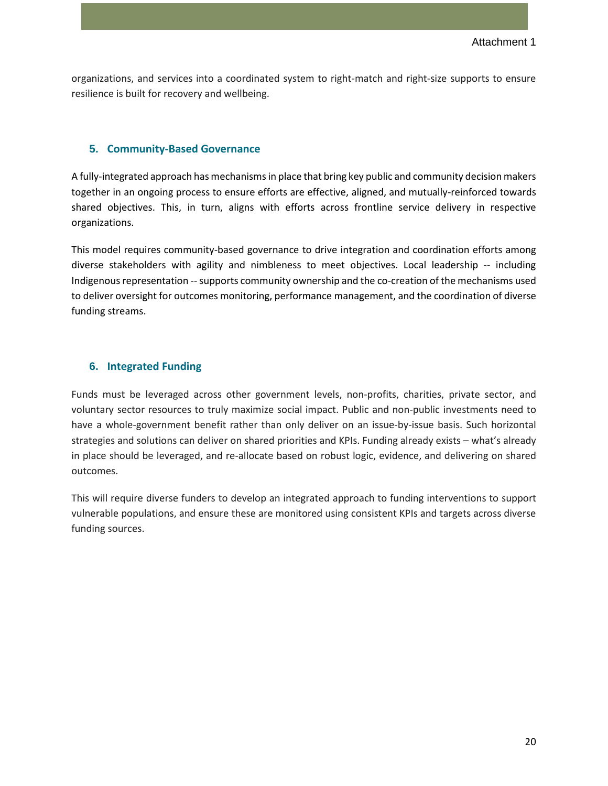organizations, and services into a coordinated system to right-match and right-size supports to ensure resilience is built for recovery and wellbeing.

#### **5. Community-Based Governance**

A fully-integrated approach has mechanisms in place that bring key public and community decision makers together in an ongoing process to ensure efforts are effective, aligned, and mutually-reinforced towards shared objectives. This, in turn, aligns with efforts across frontline service delivery in respective organizations.

This model requires community-based governance to drive integration and coordination efforts among diverse stakeholders with agility and nimbleness to meet objectives. Local leadership -- including Indigenous representation --supports community ownership and the co-creation of the mechanisms used to deliver oversight for outcomes monitoring, performance management, and the coordination of diverse funding streams.

#### **6. Integrated Funding**

Funds must be leveraged across other government levels, non-profits, charities, private sector, and voluntary sector resources to truly maximize social impact. Public and non-public investments need to have a whole-government benefit rather than only deliver on an issue-by-issue basis. Such horizontal strategies and solutions can deliver on shared priorities and KPIs. Funding already exists – what's already in place should be leveraged, and re-allocate based on robust logic, evidence, and delivering on shared outcomes.

This will require diverse funders to develop an integrated approach to funding interventions to support vulnerable populations, and ensure these are monitored using consistent KPIs and targets across diverse funding sources.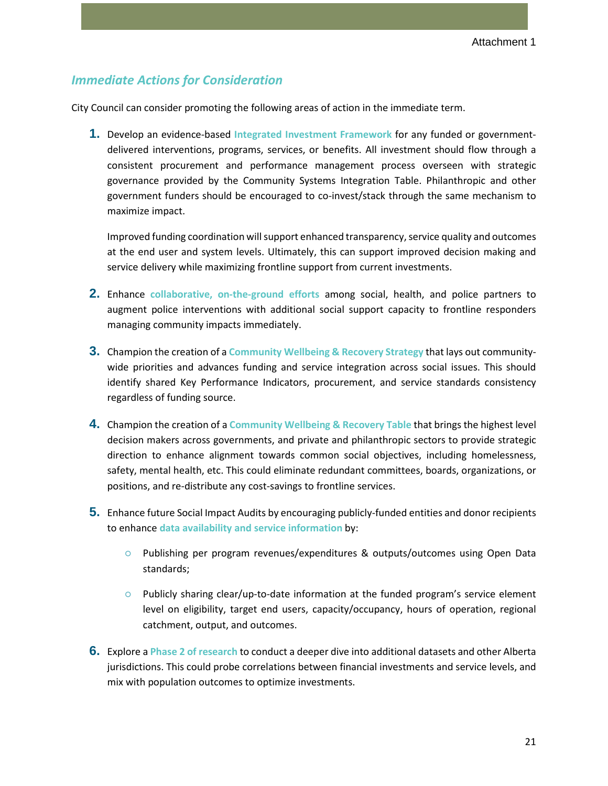#### *Immediate Actions for Consideration*

City Council can consider promoting the following areas of action in the immediate term.

**1.** Develop an evidence-based **Integrated Investment Framework** for any funded or governmentdelivered interventions, programs, services, or benefits. All investment should flow through a consistent procurement and performance management process overseen with strategic governance provided by the Community Systems Integration Table. Philanthropic and other government funders should be encouraged to co-invest/stack through the same mechanism to maximize impact.

Improved funding coordination will support enhanced transparency, service quality and outcomes at the end user and system levels. Ultimately, this can support improved decision making and service delivery while maximizing frontline support from current investments.

- **2.** Enhance **collaborative, on-the-ground efforts** among social, health, and police partners to augment police interventions with additional social support capacity to frontline responders managing community impacts immediately.
- **3.** Champion the creation of a **Community Wellbeing & Recovery Strategy** that lays out communitywide priorities and advances funding and service integration across social issues. This should identify shared Key Performance Indicators, procurement, and service standards consistency regardless of funding source.
- **4.** Champion the creation of a **Community Wellbeing & Recovery Table** that brings the highest level decision makers across governments, and private and philanthropic sectors to provide strategic direction to enhance alignment towards common social objectives, including homelessness, safety, mental health, etc. This could eliminate redundant committees, boards, organizations, or positions, and re-distribute any cost-savings to frontline services.
- **5.** Enhance future Social Impact Audits by encouraging publicly-funded entities and donor recipients to enhance **data availability and service information** by:
	- Publishing per program revenues/expenditures & outputs/outcomes using Open Data standards;
	- Publicly sharing clear/up-to-date information at the funded program's service element level on eligibility, target end users, capacity/occupancy, hours of operation, regional catchment, output, and outcomes.
- **6.** Explore a **Phase 2 of research** to conduct a deeper dive into additional datasets and other Alberta jurisdictions. This could probe correlations between financial investments and service levels, and mix with population outcomes to optimize investments.